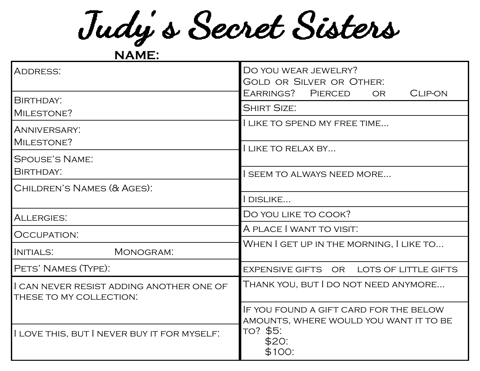Judy's Secret Sisters

**NAME:**

| <b>ADDRESS:</b>                                                     | DO YOU WEAR JEWELRY?<br><b>GOLD OR SILVER OR OTHER:</b>                                                         |  |  |
|---------------------------------------------------------------------|-----------------------------------------------------------------------------------------------------------------|--|--|
| BIRTHDAY:                                                           | EARRINGS? PIERCED<br><b>CLIP-ON</b><br><b>OR</b><br><b>SHIRT SIZE:</b>                                          |  |  |
| MILESTONE?                                                          | I LIKE TO SPEND MY FREE TIME                                                                                    |  |  |
| <b>ANNIVERSARY:</b>                                                 |                                                                                                                 |  |  |
| MILESTONE?                                                          | LIKE TO RELAX BY                                                                                                |  |  |
| <b>SPOUSE'S NAME:</b>                                               |                                                                                                                 |  |  |
| BIRTHDAY:                                                           | I SEEM TO ALWAYS NEED MORE                                                                                      |  |  |
| CHILDREN'S NAMES (& AGES):                                          |                                                                                                                 |  |  |
|                                                                     | I DISLIKE                                                                                                       |  |  |
| ALLERGIES:                                                          | DO YOU LIKE TO COOK?                                                                                            |  |  |
| OCCUPATION:                                                         | A PLACE I WANT TO VISIT.                                                                                        |  |  |
| MONOGRAM:<br>INITIALS:                                              | WHEN I GET UP IN THE MORNING, I LIKE TO                                                                         |  |  |
| PETS' NAMES (TYPE):                                                 | EXPENSIVE GIFTS OR LOTS OF LITTLE GIFTS                                                                         |  |  |
| I CAN NEVER RESIST ADDING ANOTHER ONE OF<br>THESE TO MY COLLECTION. | Thank you, but I do not need anymore                                                                            |  |  |
|                                                                     | IF YOU FOUND A GIFT CARD FOR THE BELOW<br>AMOUNTS, WHERE WOULD YOU WANT IT TO BE<br>TO? \$5:<br>\$20:<br>\$100: |  |  |
| I LOVE THIS, BUT I NEVER BUY IT FOR MYSELF.                         |                                                                                                                 |  |  |